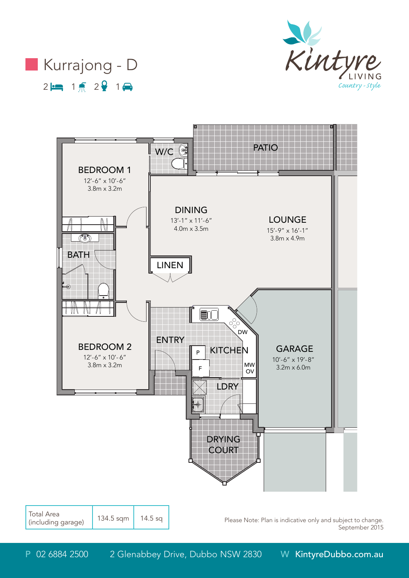





Total Area (including garage) 134.5 sqm 14.5 sq

Please Note: Plan is indicative only and subject to change. September 2015